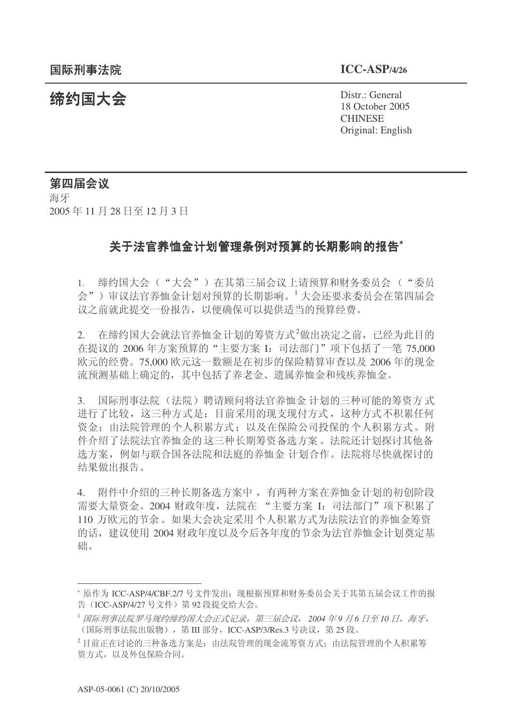**缔约国大会**<br>◆ Distr.: General 18 October 2005 **CHINESE** Original: English

## 第四届会议

海牙 2005年11月28日至12月3日

## 关于法官养恤金计划管理条例对预算的长期影响的报告\*

1. 缔约国大会("大会")在其第三届会议上请预算和财务委员会("委员 会")审议法官养恤金计划对预算的长期影响。1大会还要求委员会在第四届会 议之前就此提交一份报告,以便确保可以提供适当的预算经费。

 $2.$  在缔约国大会就法官养恤金计划的筹资方式<sup>2</sup>做出决定之前, 已经为此目的 在提议的 2006 年方案预算的"主要方案 I: 司法部门"项下包括了一笔 75,000 欧元的经费。75,000 欧元这一数额是在初步的保险精算审查以及 2006 年的现金 流预测基础上确定的, 其中包括了养老金、遗属养恤金和残疾养恤金。

3. 国际刑事法院(法院)聘请顾问将法官养恤金 计划的三种可能的筹资方式 进行了比较,这三种方式是: 目前采用的现支现付方式, 这种方式不积累任何 资金; 由法院管理的个人积累方式; 以及在保险公司投保的个人积累方式。附 件介绍了法院法官养恤金的这三种长期筹资备选方案。法院还计划探讨其他备 选方案, 例如与联合国各法院和法庭的养恤金 计划合作。法院将尽快就探讨的 结果做出报告。

4. 附件中介绍的三种长期备选方案中,有两种方案在养恤金计划的初创阶段 需要大量资金。2004 财政年度, 法院在"主要方案 I: 司法部门"项下积累了 110 万欧元的节余。如果大会决定采用个人积累方式为法院法官的养恤金筹资 的话, 建议使用 2004 财政年度以及今后各年度的节余为法官养恤金计划奠定基 础。

<sup>\*</sup> 原作为 ICC-ASP/4/CBF.2/7 号文件发出; 现根据预算和财务委员会关于其第五届会议工作的报 告 (ICC-ASP/4/27 号文件) 第 92 段提交给大会。

<sup>&</sup>lt;sup>1</sup> 国际刑事法院罗马规约缔约国大会正式记录, 第三届会议, 2004 年9 月6 日至10 日, 海牙, (国际刑事法院出版物), 第 III 部分, ICC-ASP/3/Res.3 号决议, 第 25 段。

 $^{2}$ 目前正在讨论的三种备选方案是: 由法院管理的现金流筹资方式: 由法院管理的个人积累筹 资方式, 以及外包保险合同。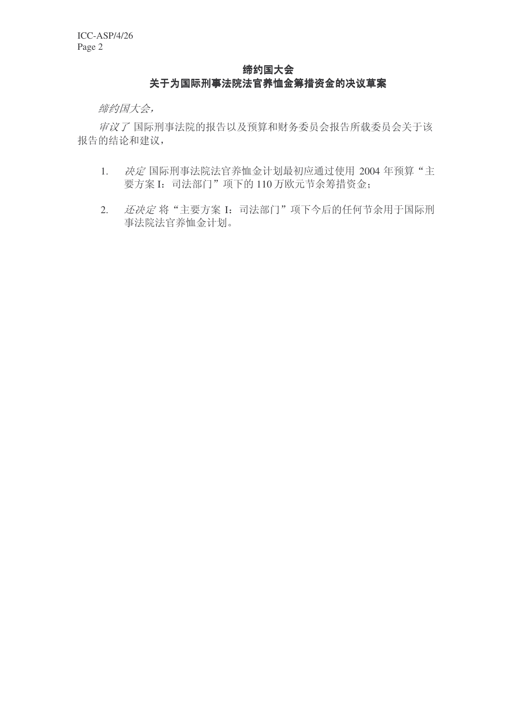## 缔约国大会 关于为国际刑事法院法官养恤金筹措资金的决议草案

缔约国大会,

审议了国际刑事法院的报告以及预算和财务委员会报告所载委员会关于该 报告的结论和建议,

- 1. 决定国际刑事法院法官养恤金计划最初应通过使用 2004 年预算"主 要方案 I: 司法部门"项下的 110 万欧元节余筹措资金;
- 2. 还决定将"主要方案 I: 司法部门"项下今后的任何节余用于国际刑 事法院法官养恤金计划。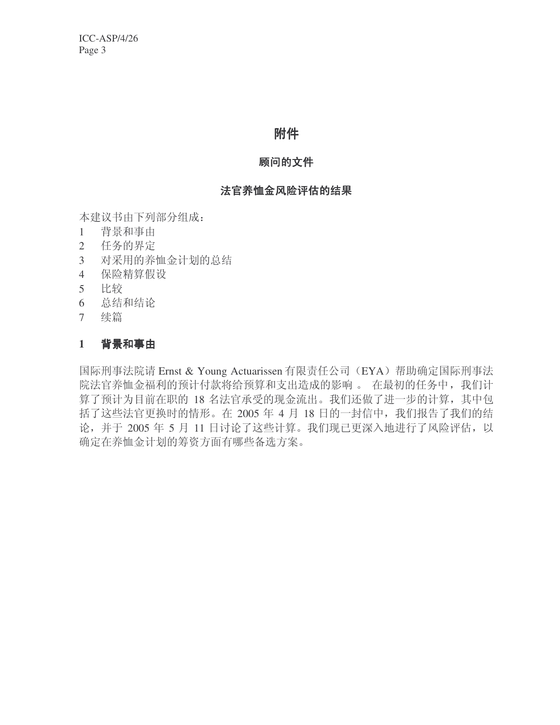# 附件

### 顾问的文件

## 法官养恤金风险评估的结果

本建议书由下列部分组成:

- 1 背景和事由
- 2 任务的界定
- 3 对采用的养恤金计划的总结
- 4 保险精算假设
- 5 比较
- 6 总结和结论
- 7 续篇

#### 1 背景和事由

国际刑事法院请 Ernst & Young Actuarissen 有限责任公司 (EYA) 帮助确定国际刑事法 院法官养恤金福利的预计付款将给预算和支出造成的影响。 在最初的任务中, 我们计 算了预计为目前在职的 18 名法官承受的现金流出。我们还做了进一步的计算, 其中包 括了这些法官更换时的情形。在 2005 年 4 月 18 日的一封信中, 我们报告了我们的结 论,并于 2005 年 5 月 11 日讨论了这些计算。我们现已更深入地进行了风险评估,以 确定在养恤金计划的筹资方面有哪些备选方案。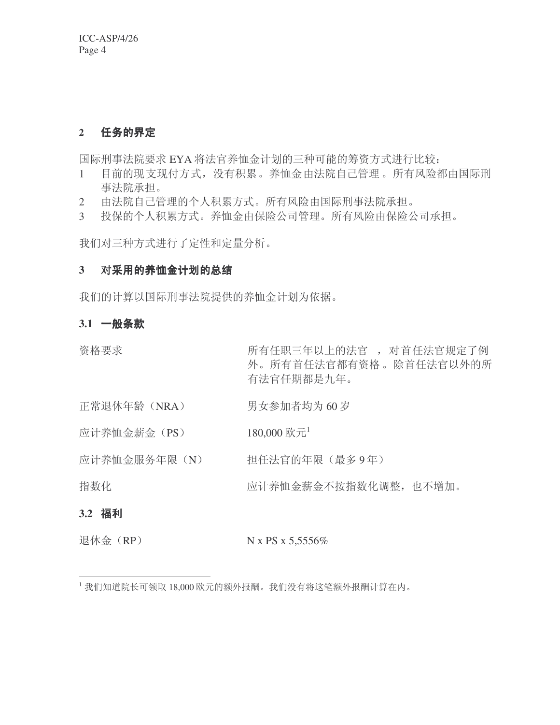## 2 任务的界定

国际刑事法院要求 EYA 将法官养恤金计划的三种可能的筹资方式进行比较:

- 1 目前的现支现付方式, 没有积累。养恤金由法院自己管理。所有风险都由国际刑 事法院承担。
- 2 由法院自己管理的个人积累方式。所有风险由国际刑事法院承担。
- 3 投保的个人积累方式。养恤金由保险公司管理。所有风险由保险公司承担。

我们对三种方式进行了定性和定量分析。

## 3 对采用的养恤金计划的总结

我们的计算以国际刑事法院提供的养恤金计划为依据。

## 3.1 一般条款

资格要求 不可以 医有任职三年以上的法官,对首任法官规定了例 外。所有首任法官都有资格。除首任法官以外的所 有法官任期都是九年。

- 正常退休年龄 (NRA) 男女参加者均为 60 岁
- 应计养恤金薪金 (PS)  $180,000 \text{ K}^{-1}$

应计养恤金服务年限(N) 担任法官的年限(最多9年)

指数化 不可能 医心包 医计养恤金薪金不按指数化调整, 也不增加。

## ߽生 **3.2**

退休金 $(RP)$  N x PS x 5,5556%

 $^{-1}$ 我们知道院长可领取 18,000 欧元的额外报酬。我们没有将这笔额外报酬计算在内。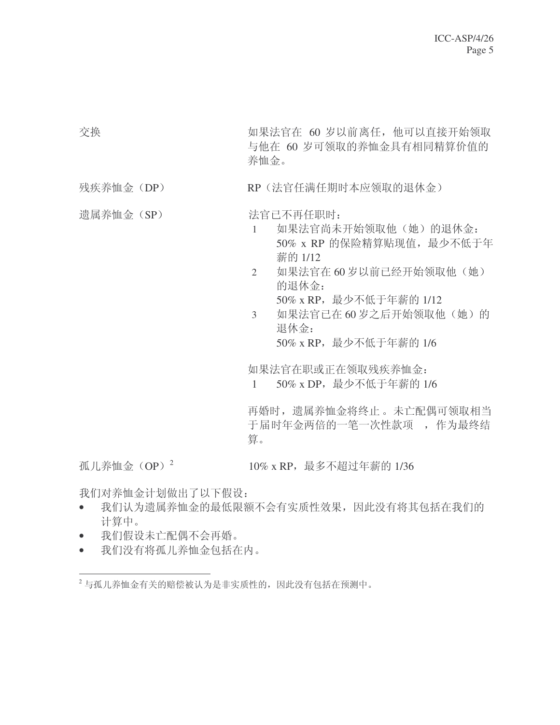交换 **booking booking booking** 如果法官在 60 岁以前离任, 他可以直接开始领取 与他在 60 岁可领取的养恤金具有相同精算价值的 养恤金。

### 残疾养恤金 (DP) RP (法官任满任期时本应领取的退休金)

遗属养恤金 (SP) → 法官已不再任职时:

- 1 如果法官尚未开始领取他(她)的退休金: 50% x RP 的保险精算贴现值, 最少不低于年 薪的 1/12
- 2 如果法官在60 岁以前已经开始领取他(她) 的退休金:

50% x RP, 最少不低于年薪的 1/12

3 如果法官已在60岁之后开始领取他(她)的 退休金: 50% x RP, 最少不低于年薪的 1/6

如果法官在职或正在领取残疾养恤金:

1 50% x DP, 最少不低于年薪的 1/6

再婚时, 遗属养恤金将终止。未亡配偶可领取相当 于届时年金两倍的一笔一次性款项, 作为最终结 算。

孤儿养恤金 (OP)<sup>2</sup>

10% x RP, 最多不超过年薪的 1/36

我们对养恤金计划做出了以下假设:

- 我们认为遗属养恤金的最低限额不会有实质性效果,因此没有将其包括在我们的 计算中。
- 我们假设未亡配偶不会再婚。
- 我们没有将孤儿养恤金包括在内。

 $2$ 与孤儿养恤金有关的赔偿被认为是非实质性的,因此没有包括在预测中。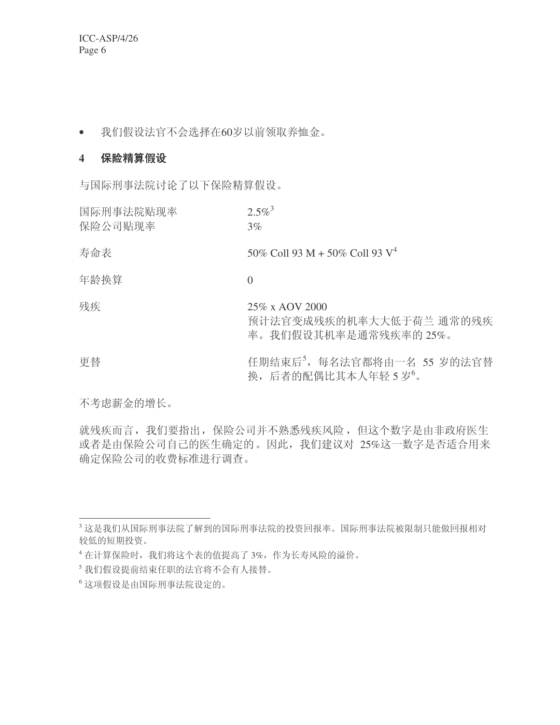ICC-ASP/4/26 Page 6

• 我们假设法官不会选择在60岁以前领取养恤金。

### 4 保险精算假设

与国际刑事法院讨论了以下保险精算假设。

| 国际刑事法院贴现率<br>保险公司贴现率 | $2.5\%$ <sup>3</sup><br>$3\%$                                     |
|----------------------|-------------------------------------------------------------------|
| 寿命表                  | 50% Coll 93 M + 50% Coll 93 $V^4$                                 |
| 年龄换算                 | $\left( \right)$                                                  |
| 残疾                   | 25% x AOV 2000<br>预计法官变成残疾的机率大大低于荷兰 通常的残疾<br>率。我们假设其机率是通常残疾率的25%。 |
| 更替                   | 任期结束后 <sup>5</sup> , 每名法官都将由一名 55 岁的法官替<br>换,后者的配偶比其本人年轻5岁。       |

不考虑薪金的增长。

就残疾而言, 我们要指出, 保险公司并不熟悉残疾风险, 但这个数字是由非政府医生 或者是由保险公司自己的医生确定的。因此,我们建议对 25%这一数字是否适合用来 确定保险公司的收费标准进行调查。

 $3$ 这是我们从国际刑事法院了解到的国际刑事法院的投资回报率。国际刑事法院被限制只能做回报相对 较低的短期投资。

<sup>4</sup> 在计算保险时, 我们将这个表的值提高了 3%, 作为长寿风险的溢价。

<sup>5</sup> 我们假设提前结束任职的法官将不会有人接替。

<sup>6</sup> 这项假设是由国际刑事法院设定的。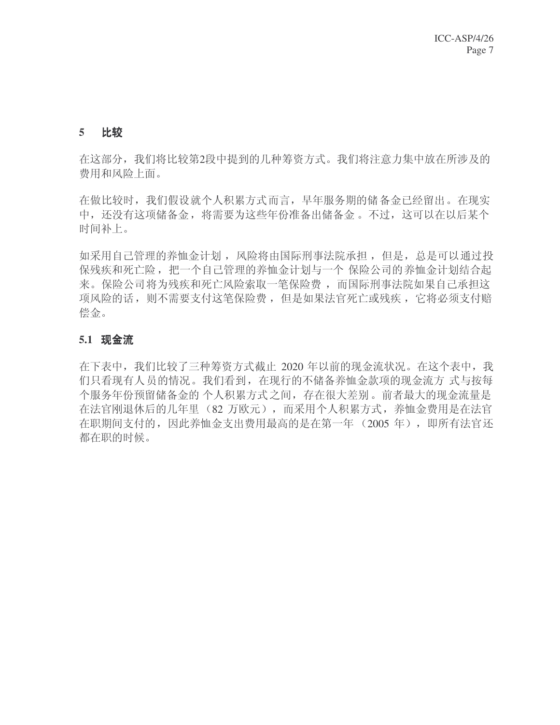### 5 比较

在这部分, 我们将比较第2段中提到的几种筹资方式。我们将注意力集中放在所涉及的 费用和风险上面。

在做比较时, 我们假设就个人积累方式而言, 早年服务期的储备金已经留出。在现实 中, 还没有这项储备金, 将需要为这些年份准备出储备金。不过, 这可以在以后某个 时间补上。

如采用自己管理的养恤金计划, 风险将由国际刑事法院承担, 但是, 总是可以通过投 保残疾和死亡险, 把一个自己管理的养恤金计划与一个 保险公司的 养恤金计划结合起 来。保险公司将为残疾和死亡风险索取一笔保险费, 而国际刑事法院如果自己承担这 项风险的话, 则不需要支付这笔保险费, 但是如果法官死亡或残疾, 它将必须支付赔 偿金。

#### 5.1 现金流

在下表中, 我们比较了三种筹资方式截止 2020 年以前的现金流状况。在这个表中, 我 们只看现有人员的情况。我们看到, 在现行的不储备养恤金款项的现金流方 式与按每 个服务年份预留储备金的 个人积累方式之间, 存在很大差别。前者最大的现金流量是 在法官刚退休后的几年里(82 万欧元), 而采用个人积累方式, 养恤金费用是在法官 在职期间支付的,因此养恤金支出费用最高的是在第一年 (2005年),即所有法官还 都在职的时候。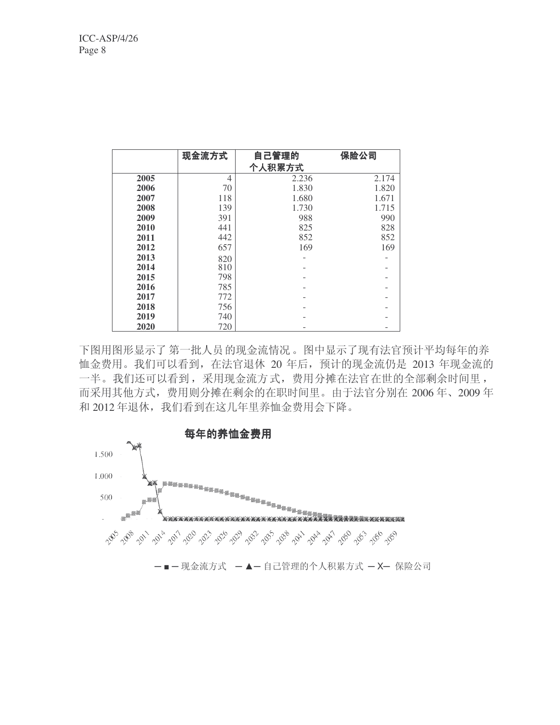|      | 现金流方式 | 自己管理的<br>个人积累方式 | 保险公司  |
|------|-------|-----------------|-------|
| 2005 | 4     | 2.236           | 2.174 |
| 2006 | 70    | 1.830           | 1.820 |
| 2007 | 118   | 1.680           | 1.671 |
| 2008 | 139   | 1.730           | 1.715 |
| 2009 | 391   | 988             | 990   |
| 2010 | 441   | 825             | 828   |
| 2011 | 442   | 852             | 852   |
| 2012 | 657   | 169             | 169   |
| 2013 | 820   |                 |       |
| 2014 | 810   |                 |       |
| 2015 | 798   |                 |       |
| 2016 | 785   |                 |       |
| 2017 | 772   |                 |       |
| 2018 | 756   |                 |       |
| 2019 | 740   |                 |       |
| 2020 | 720   |                 |       |

下图用图形显示了第一批人员的现金流情况。图中显示了现有法官预计平均每年的养 恤金费用。我们可以看到, 在法官退休 20 年后, 预计的现金流仍是 2013 年现金流的 一半。我们还可以看到,采用现金流方式,费用分摊在法官在世的全部剩余时间里, 而采用其他方式,费用则分摊在剩余的在职时间里。由于法官分别在 2006年、2009年 和 2012 年退休, 我们看到在这几年里养恤金费用会下降。

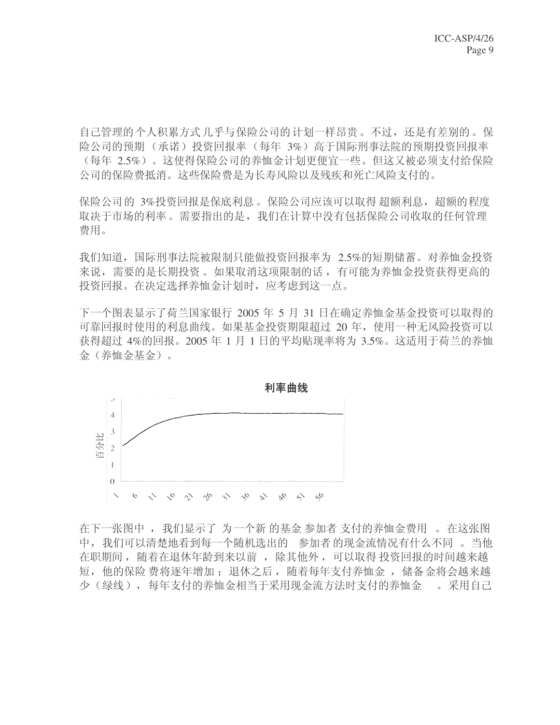自己管理的个人积累方式 几乎与保险公司的计划一样昂贵。不过, 还是有差别的。保 险公司的预期(承诺)投资回报率(每年3%)高于国际刑事法院的预期投资回报率 (每年 2.5%)。这使得保险公司的养恤金计划更便宜一些。但这又被必须支付给保险 公司的保险费抵消。这些保险费是为长寿风险以及残疾和死亡风险支付的。

保险公司的 3%投资回报是保底利息。保险公司应该可以取得 超额利息, 超额的程度 取决于市场的利率。需要指出的是, 我们在计算中没有包括保险公司收取的任何管理 费用。

我们知道, 国际刑事法院被限制只能做投资回报率为 2.5%的短期储蓄。对养恤金投资 来说, 需要的是长期投资。如果取消这项限制的话, 有可能为养恤金投资获得更高的 投资回报。在决定选择养恤金计划时, 应考虑到这一点。

下一个图表显示了荷兰国家银行 2005 年 5 月 31 日在确定养恤金基金投资可以取得的 可靠回报时使用的利息曲线。如果基金投资期限超过 20 年, 使用一种无风险投资可以 获得超过 4%的回报。2005 年 1 月 1 日的平均贴现率将为 3.5%。这适用于荷兰的养恤 金(养恤金基金)。



在下一张图中, 我们显示了为一个新的基金参加者支付的养恤金费用。 在这张图 中, 我们可以清楚地看到每一个随机选出的 参加者 的现金流情况有什么不同。当他 在职期间, 随着在退休年龄到来以前, 除其他外, 可以取得投资回报的时间越来越 短, 他的保险费将逐年增加; 退休之后, 随着每年支付养恤金, 储备金将会越来越  $\begin{array}{l} \begin{array}{l} \begin{array}{l} \times \\ \begin{array}{l} \times \\ \begin{array}{l} \times \\ \begin{array}{l} \times \end{array} \end{array} \end{array} \end{array} \end{array} \end{array} \end{array} \begin{array}{l} \begin{array}{l} \times \\ \begin{array}{l} \times \end{array} \end{array} \end{array} \begin{array}{l} \times \end{array} \begin{array}{l} \times \end{array} \end{array} \begin{array}{l} \times \end{array} \begin{array}{l} \times \end{array} \begin{array}{l} \times \end{array} \begin{array}{l} \times \end{array}$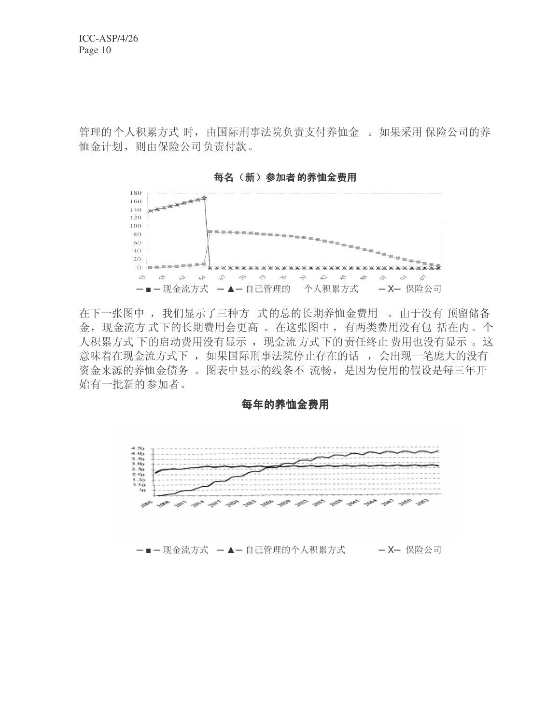管理的个人积累方式时, 由国际刑事法院负责支付养恤金。如果采用保险公司的养 恤金计划, 则由保险公司负责付款。



每名(新) 参加者的养恤金费用

在下一张图中, 我们显示了三种方 式的总的长期养恤金费用。由于没有预留储备 金, 现金流方式下的长期费用会更高。在这张图中, 有两类费用没有包括在内。个 人积累方式 下的启动费用没有显示 ,现金流方式下的责任终止 费用也没有显示 。这 意味着在现金流方式下 , 如果国际刑事法院停止存在的话 , 会出现一笔庞大的没有 资金来源的养恤金债务。图表中显示的线条不 流畅, 是因为使用的假设是每三年开 始有一批新的参加者。

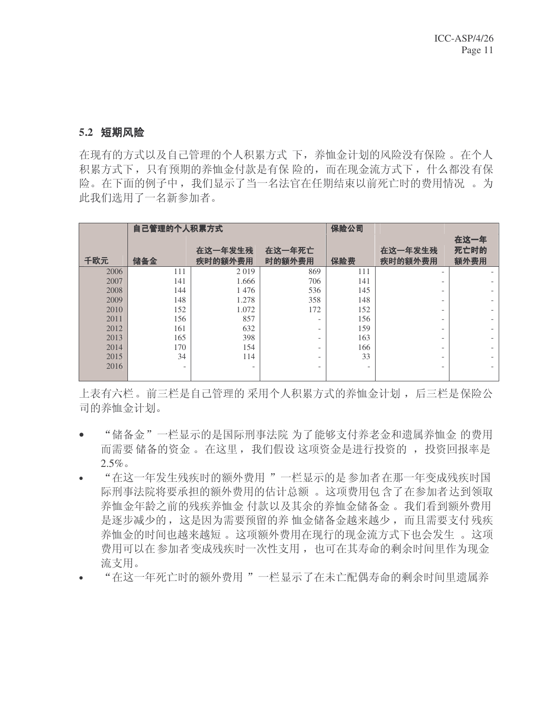#### 5.2 短期风险

在现有的方式以及自己管理的个人积累方式 下,养恤金计划的风险没有保险 。在个人 积累方式下,只有预期的养恤金付款是有保险的,而在现金流方式下,什么都没有保 险。在下面的例子中, 我们显示了当一名法官在任期结束以前死亡时的费用情况 。为 此我们选用了一名新参加者。

|      | 自己管理的个人积累方式              |                          |                          | 保险公司 |                          |                          |
|------|--------------------------|--------------------------|--------------------------|------|--------------------------|--------------------------|
|      |                          |                          |                          |      |                          | 在这一年                     |
|      |                          | 在这一年发生残                  | 在这一年死亡                   |      | 在这一年发生残                  | 死亡时的                     |
| 千欧元  | 储备金                      | 疾时的额外费用                  | 时的额外费用                   | 保险费  | 疾时的额外费用                  | 额外费用                     |
| 2006 | 111                      | 2019                     | 869                      | 111  | $\overline{\phantom{0}}$ | $\overline{\phantom{a}}$ |
| 2007 | 141                      | 1.666                    | 706                      | 141  |                          |                          |
| 2008 | 144                      | 1476                     | 536                      | 145  |                          |                          |
| 2009 | 148                      | 1.278                    | 358                      | 148  |                          |                          |
| 2010 | 152                      | 1.072                    | 172                      | 152  |                          |                          |
| 2011 | 156                      | 857                      | $\overline{\phantom{0}}$ | 156  |                          |                          |
| 2012 | 161                      | 632                      | $\overline{\phantom{0}}$ | 159  |                          |                          |
| 2013 | 165                      | 398                      | -                        | 163  |                          |                          |
| 2014 | 170                      | 154                      | -                        | 166  |                          |                          |
| 2015 | 34                       | 114                      | -                        | 33   |                          |                          |
| 2016 | $\overline{\phantom{a}}$ | $\overline{\phantom{0}}$ | $\overline{\phantom{0}}$ |      |                          |                          |
|      |                          |                          |                          |      |                          |                          |

上表有六栏。前三栏是自己管理的采用个人积累方式的养恤金计划,后三栏是保险公 司的养恤金计划。

- "储备金"一栏显示的是国际刑事法院 为了能够支付养老金和遗属养恤金 的费用 而需要储备的资金。 在这里, 我们假设这项资金是进行投资的, 投资回报率是  $2.5\%$
- "在这一年发生残疾时的额外费用"一栏显示的是参加者在那一年变成残疾时国 际刑事法院将要承担的额外费用的估计总额 。这项费用包含了在参加者达到领取 养恤金年龄之前的残疾养恤金 付款以及其余的养恤金储备金。我们看到额外费用 是逐步减少的, 这是因为需要预留的养 恤金储备金越来越少, 而且需要支付残疾 养恤金的时间也越来越短。这项额外费用在现行的现金流方式下也会发生。这项 费用可以在参加者变成残疾时一次性支用, 也可在其寿命的剩余时间里作为现金 流支用。
- "在这一年死亡时的额外费用"一栏显示了在未亡配偶寿命的剩余时间里遗属养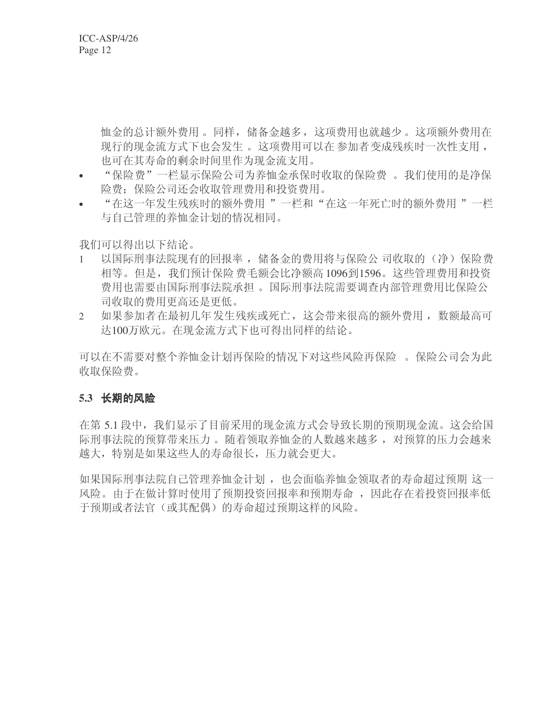恤金的总计额外费用。同样, 储备金越多, 这项费用也就越少。这项额外费用在 现行的现金流方式下也会发生。这项费用可以在参加者变成残疾时一次性支用, 也可在其寿命的剩余时间里作为现金流支用。

- "保险费"一栏显示保险公司为养恤金承保时收取的保险费 。我们使用的是净保 险费: 保险公司还会收取管理费用和投资费用。
- "在这一年发生残疾时的额外费用 "一栏和"在这一年死亡时的额外费用 "一栏 与自己管理的养恤金计划的情况相同。

我们可以得出以下结论。

- 1 以国际刑事法院现有的回报率,储备金的费用将与保险公司收取的(净)保险费 相等。但是,我们预计保险费毛额会比净额高1096到1596。这些管理费用和投资 费用也需要由国际刑事法院和担。国际刑事法院需要调查内部管理费用比保险公 司收取的费用更高还是更低。
- 2 如果参加者在最初几年发生残疾或死亡,这会带来很高的额外费用,数额最高可 达100万欧元。在现金流方式下也可得出同样的结论。

可以在不需要对整个养恤金计划再保险的情况下对这些风险再保险 。保险公司会为此 收取保险费。

### 5.3 长期的风险

在第 5.1 段中,我们显示了目前采用的现金流方式会导致长期的预期现金流。这会给国 际刑事法院的预算带来压力。随着领取养恤金的人数越来越多, 对预算的压力会越来 越大, 特别是如果这些人的寿命很长, 压力就会更大。

如果国际刑事法院自己管理养恤金计划,也会面临养恤金领取者的寿命超过预期这一 风险。由于在做计算时使用了预期投资回报率和预期寿命, 因此存在着投资回报率低 干预期或者法官(或其配偶)的寿命招讨预期这样的风险。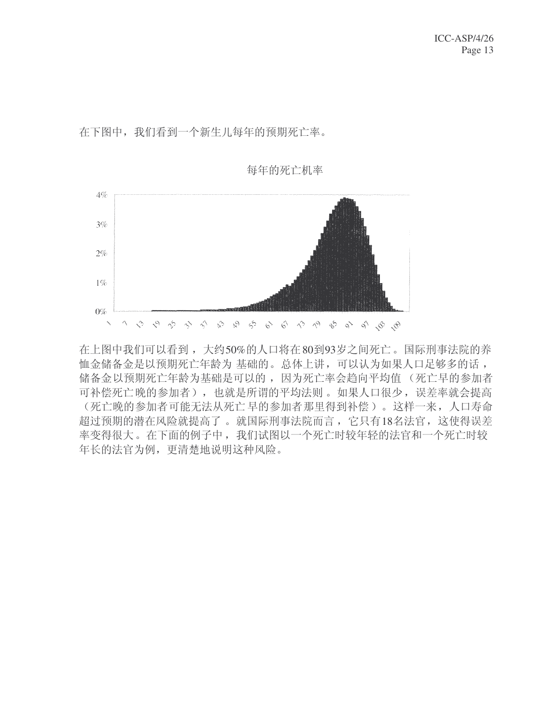在下图中, 我们看到一个新生儿每年的预期死亡率。



在上图中我们可以看到,大约50%的人口将在80到93岁之间死亡。国际刑事法院的养 恤金储备金是以预期死亡年龄为 基础的。总体上讲,可以认为如果人口足够多的话, 储备金以预期死亡年龄为基础是可以的,因为死亡率会趋向平均值(死亡早的参加者 可补偿死亡晚的参加者),也就是所谓的平均法则。如果人口很少,误差率就会提高 (死亡晚的参加者可能无法从死亡早的参加者那里得到补偿)。这样一来, 人口寿命 超过预期的潜在风险就提高了。就国际刑事法院而言,它只有18名法官,这使得误差 率变得很大。在下面的例子中, 我们试图以一个死亡时较年轻的法官和一个死亡时较 年长的法官为例, 更清楚地说明这种风险。

每年的死亡机率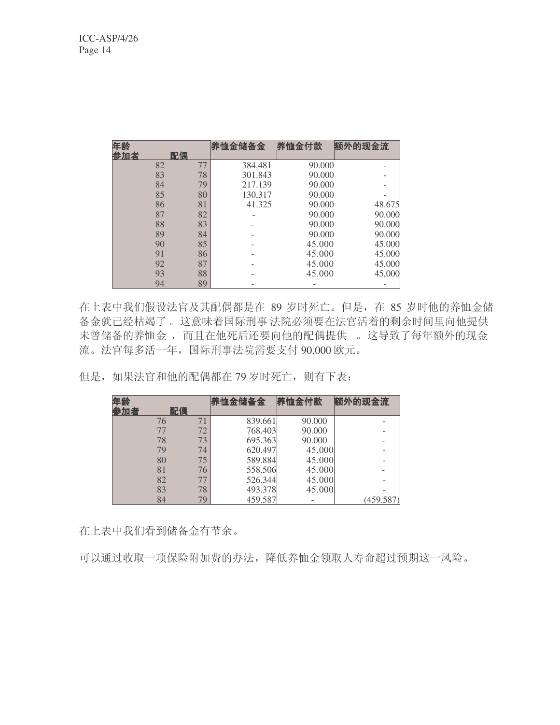| 年龄  |    | 养恤金储备金  | 养恤金付款  | 额外的现金流 |
|-----|----|---------|--------|--------|
| 参加者 | 配偶 |         |        |        |
| 82  | 77 | 384.481 | 90.000 |        |
| 83  | 78 | 301.843 | 90.000 |        |
| 84  | 79 | 217.139 | 90.000 |        |
| 85  | 80 | 130,317 | 90.000 |        |
| 86  | 81 | 41.325  | 90.000 | 48.675 |
| 87  | 82 |         | 90.000 | 90.000 |
| 88  | 83 |         | 90.000 | 90.000 |
| 89  | 84 |         | 90.000 | 90.000 |
| 90  | 85 |         | 45.000 | 45.000 |
| 91  | 86 |         | 45.000 | 45.000 |
| 92  | 87 |         | 45.000 | 45.000 |
| 93  | 88 |         | 45.000 | 45,000 |
| 94  | 89 |         |        |        |

在上表中我们假设法官及其配偶都是在 89 岁时死亡。但是, 在 85 岁时他的养恤金储 备金就已经枯竭了。这意味着国际刑事 法院必须要在法官活着的剩余时间里向他提供 未曾储备的养恤金, 而且在他死后还要向他的配偶提供 。这导致了每年额外的现金 流。法官每多活一年,国际刑事法院需要支付 90,000 欧元。

但是, 如果法官和他的配偶都在 79 岁时死亡, 则有下表:

| 年龄  |    |    | 养恤金储备金  | 养恤金付款  | 额外的现金流    |
|-----|----|----|---------|--------|-----------|
| 参加者 | 配偶 |    |         |        |           |
|     | 76 | 71 | 839.661 | 90.000 |           |
|     | 77 | 72 | 768.403 | 90.000 |           |
|     | 78 | 73 | 695.363 | 90.000 |           |
|     | 79 | 74 | 620.497 | 45.000 |           |
|     | 80 | 75 | 589.884 | 45.000 |           |
|     | 81 | 76 | 558.506 | 45.000 |           |
|     | 82 | 77 | 526.344 | 45.000 |           |
|     | 83 | 78 | 493.378 | 45.000 |           |
|     | 84 | 79 | 459.587 |        | (459.587) |

在上表中我们看到储备金有节余。

可以通过收取一项保险附加费的办法,降低养恤金领取人寿命超过预期这一风险。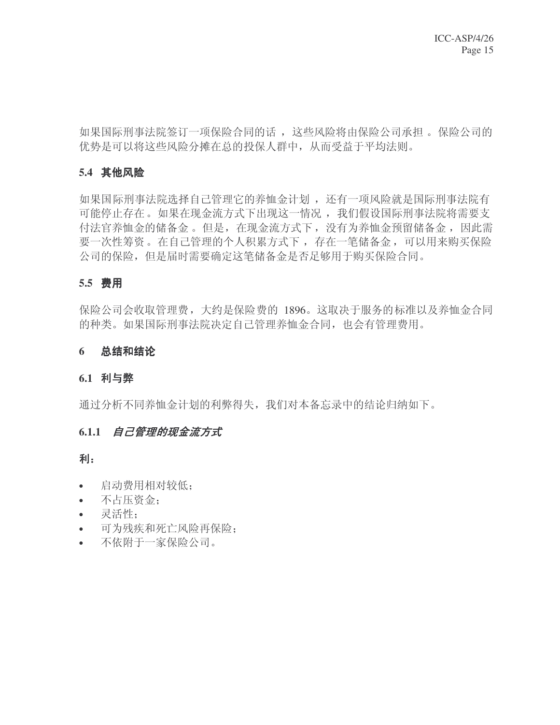如果国际刑事法院签订一项保险合同的话, 这些风险将由保险公司承担。保险公司的 优势是可以将这些风险分摊在总的投保人群中, 从而受益于平均法则。

### 5.4 其他风险

如果国际刑事法院选择自己管理它的养恤金计划, 还有一项风险就是国际刑事法院有 可能停止存在。如果在现金流方式下出现这一情况,我们假设国际刑事法院将需要支 付法官养恤金的储备金。但是, 在现金流方式下, 没有为养恤金预留储备金, 因此需 要一次性筹资。在自己管理的个人积累方式下, 存在一笔储备金, 可以用来购买保险 公司的保险, 但是届时需要确定这笔储备金是否足够用于购买保险合同。

#### **5.5** 䌍⫼

保险公司会收取管理费,大约是保险费的 1896。这取决于服务的标准以及养恤金合同 的种类。如果国际刑事法院决定自己管理养恤金合同, 也会有管理费用。

#### 6 总结和结论

#### 6.1 利与弊

通过分析不同养恤金计划的利弊得失,我们对本备忘录中的结论归纳如下。

#### 6.1.1 *自己管理的现金流方式*

利:

- 启动费用相对较低:
- 不占压资金:
- 灵活性:
- 可为残疾和死亡风险再保险;
- 不依附于一家保险公司。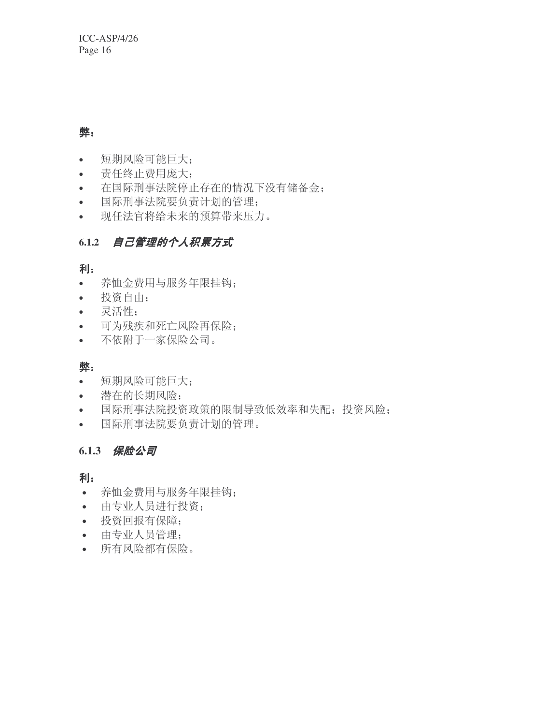# 弊:

- 短期风险可能巨大;
- 责任终止费用庞大:
- 在国际刑事法院停止存在的情况下没有储备金;
- 国际刑事法院要负责计划的管理:
- 现任法官将给未来的预算带来压力。

# 6.1.2 自己管理的个人积累方式

# 利:

- 养恤金费用与服务年限挂钩;
- 投资自由;
- 灵活性;
- 可为残疾和死亡风险再保险;
- 不依附于一家保险公司。

# 弊:

- 短期风险可能巨大;
- 潜在的长期风险:
- 国际刑事法院投资政策的限制导致低效率和失配;投资风险;
- 国际刑事法院要负责计划的管理。

# 6.1.3 保险公司

## 利:

- 养恤金费用与服务年限挂钩:
- 由专业人员进行投资;
- 投资回报有保障;
- 由专业人员管理;
- 所有风险都有保险。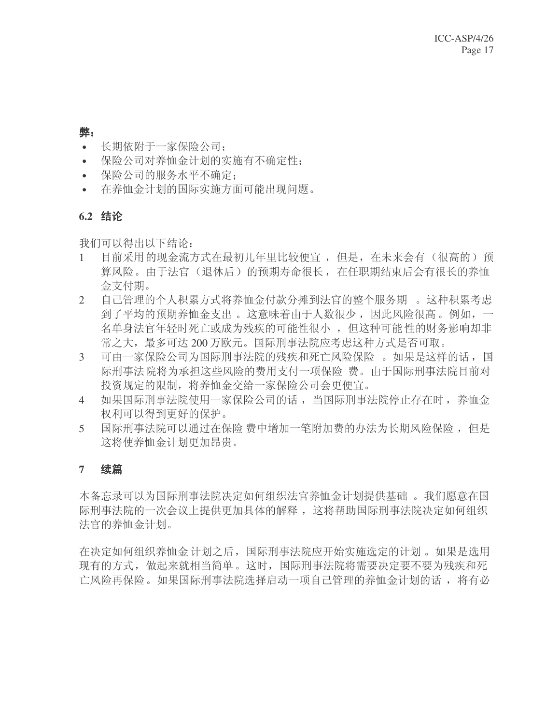#### 憋.

- 长期依附于一家保险公司;
- 保险公司对养恤金计划的实施有不确定性;
- 保险公司的服务水平不确定:
- 在养恤金计划的国际实施方面可能出现问题。

### **6.2** 㒧䆎

我们可以得出以下结论:

- 1 目前采用的现金流方式在最初几年里比较便宜,但是,在未来会有(很高的)预 算风险。由于法官(退休后)的预期寿命很长, 在任职期结束后会有很长的养恤 金支付期。
- 2 自己管理的个人积累方式将养恤金付款分摊到法官的整个服务期 。这种积累考虑 到了平均的预期养恤金支出。这意味着由于人数很少,因此风险很高。例如,一 名单身法官年轻时死亡或成为残疾的可能性很小, 但这种可能性的财务影响却非 常之大, 最多可达 200 万欧元。国际刑事法院应考虑这种方式是否可取。
- 3 可由一家保险公司为国际刑事法院的残疾和死亡风险保险 。如果是这样的话, 国 际刑事法院将为承担这些风险的费用支付一项保险 费。由于国际刑事法院目前对 投资规定的限制,将养恤金交给一家保险公司会更便宜。
- 4 如果国际刑事法院使用一家保险公司的话,当国际刑事法院停止存在时,养恤金 权利可以得到更好的保护。
- 5 国际刑事法院可以通过在保险 费中增加一笔附加费的办法为长期风险保险, 但是 这将使养恤金计划更加昂贵。

### 7 续篇

本备忘录可以为国际刑事法院决定如何组织法官养恤金计划提供基础 。我们愿意在国 际刑事法院的一次会议上提供更加具体的解释, 这将帮助国际刑事法院决定如何组织 法官的养恤金计划。

在决定如何组织养恤金 计划之后, 国际刑事法院应开始实施选定的计划。如果是选用 现有的方式,做起来就相当简单。这时,国际刑事法院将需要决定要不要为残疾和死 亡风险再保险。如果国际刑事法院选择启动一项自己管理的养恤金计划的话, 将有必